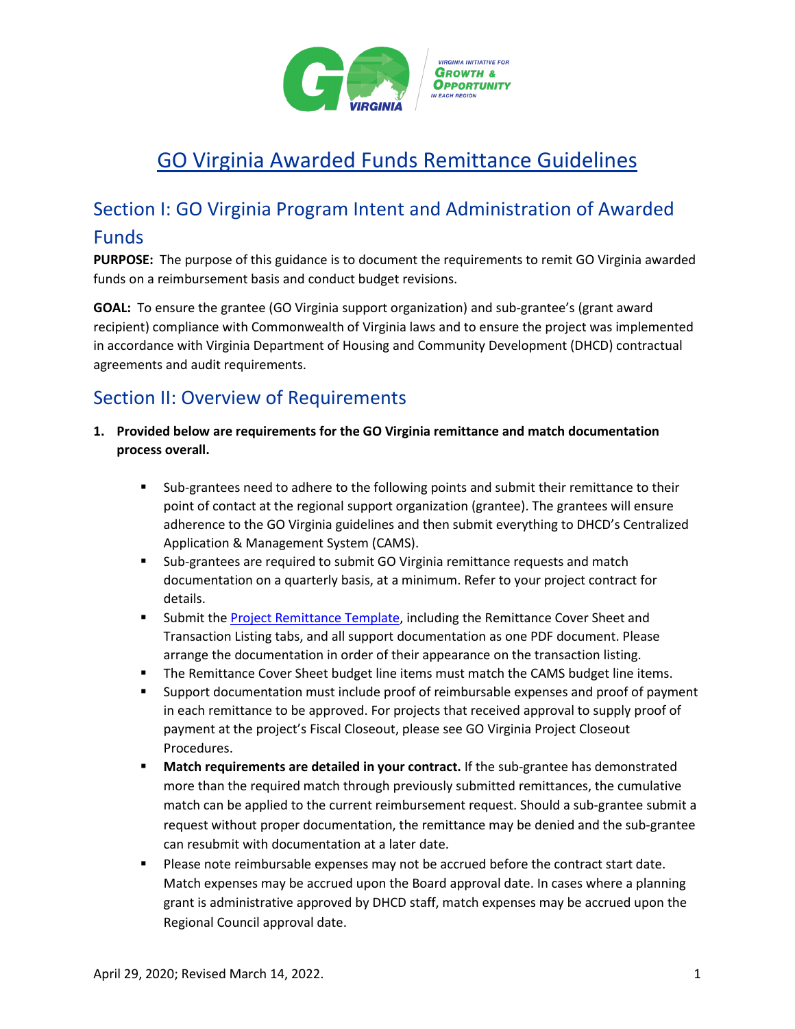

# GO Virginia Awarded Funds Remittance Guidelines

## Section I: GO Virginia Program Intent and Administration of Awarded Funds

**PURPOSE:** The purpose of this guidance is to document the requirements to remit GO Virginia awarded funds on a reimbursement basis and conduct budget revisions.

**GOAL:** To ensure the grantee (GO Virginia support organization) and sub-grantee's (grant award recipient) compliance with Commonwealth of Virginia laws and to ensure the project was implemented in accordance with Virginia Department of Housing and Community Development (DHCD) contractual agreements and audit requirements.

### Section II: Overview of Requirements

- **1. Provided below are requirements for the GO Virginia remittance and match documentation process overall.**
	- Sub-grantees need to adhere to the following points and submit their remittance to their point of contact at the regional support organization (grantee). The grantees will ensure adherence to the GO Virginia guidelines and then submit everything to DHCD's Centralized Application & Management System (CAMS).
	- Sub-grantees are required to submit GO Virginia remittance requests and match documentation on a quarterly basis, at a minimum. Refer to your project contract for details.
	- **Submit th[e Project Remittance Template,](https://www.dhcd.virginia.gov/sites/default/files/Docx/gova/regional-materials/gova-project-remittance-template.xlsx) including the Remittance Cover Sheet and** Transaction Listing tabs, and all support documentation as one PDF document. Please arrange the documentation in order of their appearance on the transaction listing.
	- **The Remittance Cover Sheet budget line items must match the CAMS budget line items.**
	- Support documentation must include proof of reimbursable expenses and proof of payment in each remittance to be approved. For projects that received approval to supply proof of payment at the project's Fiscal Closeout, please see GO Virginia Project Closeout Procedures.
	- **Match requirements are detailed in your contract.** If the sub-grantee has demonstrated more than the required match through previously submitted remittances, the cumulative match can be applied to the current reimbursement request. Should a sub-grantee submit a request without proper documentation, the remittance may be denied and the sub-grantee can resubmit with documentation at a later date.
	- **Please note reimbursable expenses may not be accrued before the contract start date.** Match expenses may be accrued upon the Board approval date. In cases where a planning grant is administrative approved by DHCD staff, match expenses may be accrued upon the Regional Council approval date.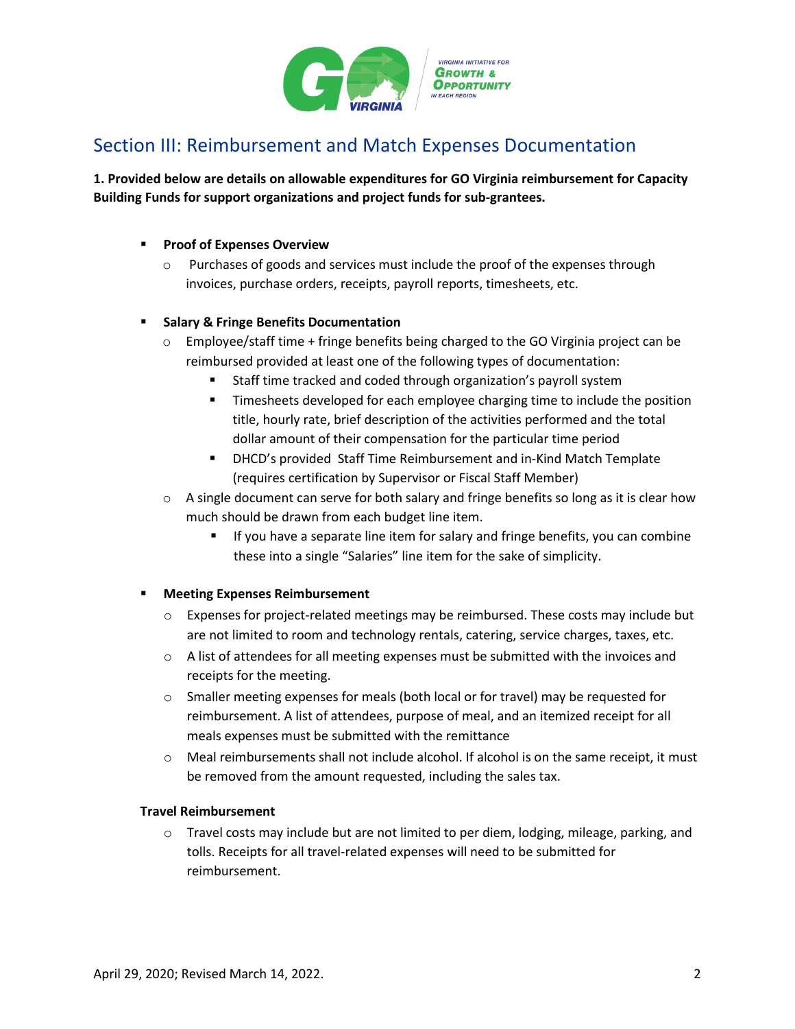

## Section III: Reimbursement and Match Expenses Documentation

**1. Provided below are details on allowable expenditures for GO Virginia reimbursement for Capacity Building Funds for support organizations and project funds for sub-grantees.**

#### **Proof of Expenses Overview**

o Purchases of goods and services must include the proof of the expenses through invoices, purchase orders, receipts, payroll reports, timesheets, etc.

#### **Salary & Fringe Benefits Documentation**

- $\circ$  Employee/staff time + fringe benefits being charged to the GO Virginia project can be reimbursed provided at least one of the following types of documentation:
	- Staff time tracked and coded through organization's payroll system
	- **Timesheets developed for each employee charging time to include the position** title, hourly rate, brief description of the activities performed and the total dollar amount of their compensation for the particular time period
	- DHCD's provided Staff Time Reimbursement and in-Kind Match Template (requires certification by Supervisor or Fiscal Staff Member)
- $\circ$  A single document can serve for both salary and fringe benefits so long as it is clear how much should be drawn from each budget line item.
	- If you have a separate line item for salary and fringe benefits, you can combine these into a single "Salaries" line item for the sake of simplicity.

#### **Meeting Expenses Reimbursement**

- $\circ$  Expenses for project-related meetings may be reimbursed. These costs may include but are not limited to room and technology rentals, catering, service charges, taxes, etc.
- $\circ$  A list of attendees for all meeting expenses must be submitted with the invoices and receipts for the meeting.
- $\circ$  Smaller meeting expenses for meals (both local or for travel) may be requested for reimbursement. A list of attendees, purpose of meal, and an itemized receipt for all meals expenses must be submitted with the remittance
- Meal reimbursements shall not include alcohol. If alcohol is on the same receipt, it must be removed from the amount requested, including the sales tax.

#### **Travel Reimbursement**

 $\circ$  Travel costs may include but are not limited to per diem, lodging, mileage, parking, and tolls. Receipts for all travel-related expenses will need to be submitted for reimbursement.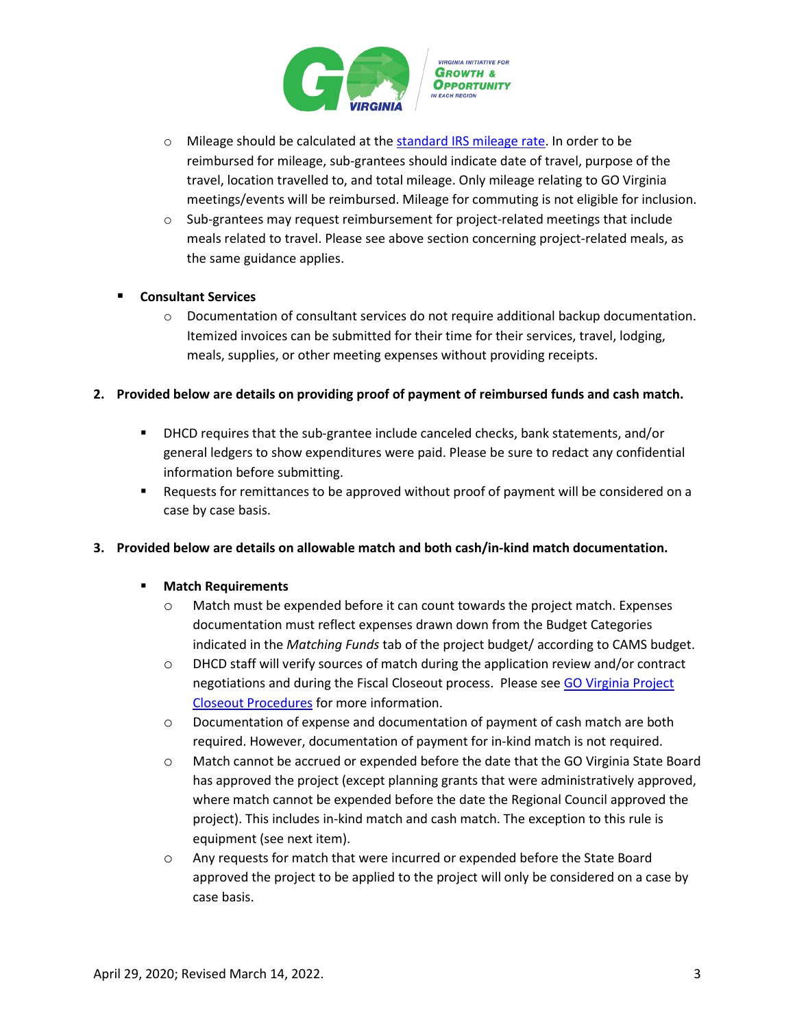

- o Mileage should be calculated at th[e standard IRS mileage rate.](https://www.irs.gov/tax-professionals/standard-mileage-rates) In order to be reimbursed for mileage, sub-grantees should indicate date of travel, purpose of the travel, location travelled to, and total mileage. Only mileage relating to GO Virginia meetings/events will be reimbursed. Mileage for commuting is not eligible for inclusion.
- $\circ$  Sub-grantees may request reimbursement for project-related meetings that include meals related to travel. Please see above section concerning project-related meals, as the same guidance applies.

#### **Consultant Services**

 $\circ$  Documentation of consultant services do not require additional backup documentation. Itemized invoices can be submitted for their time for their services, travel, lodging, meals, supplies, or other meeting expenses without providing receipts.

#### **2. Provided below are details on providing proof of payment of reimbursed funds and cash match.**

- DHCD requires that the sub-grantee include canceled checks, bank statements, and/or general ledgers to show expenditures were paid. Please be sure to redact any confidential information before submitting.
- Requests for remittances to be approved without proof of payment will be considered on a case by case basis.

#### **3. Provided below are details on allowable match and both cash/in-kind match documentation.**

#### **Match Requirements**

- $\circ$  Match must be expended before it can count towards the project match. Expenses documentation must reflect expenses drawn down from the Budget Categories indicated in the *Matching Funds* tab of the project budget/ according to CAMS budget.
- o DHCD staff will verify sources of match during the application review and/or contract negotiations and during the Fiscal Closeout process. Please see GO Virginia Project [Closeout Procedures](https://www.dhcd.virginia.gov/sites/default/files/Docx/gova/board-docx/gova-closeout-procedures-guidance.pdf) for more information.
- o Documentation of expense and documentation of payment of cash match are both required. However, documentation of payment for in-kind match is not required.
- o Match cannot be accrued or expended before the date that the GO Virginia State Board has approved the project (except planning grants that were administratively approved, where match cannot be expended before the date the Regional Council approved the project). This includes in-kind match and cash match. The exception to this rule is equipment (see next item).
- o Any requests for match that were incurred or expended before the State Board approved the project to be applied to the project will only be considered on a case by case basis.